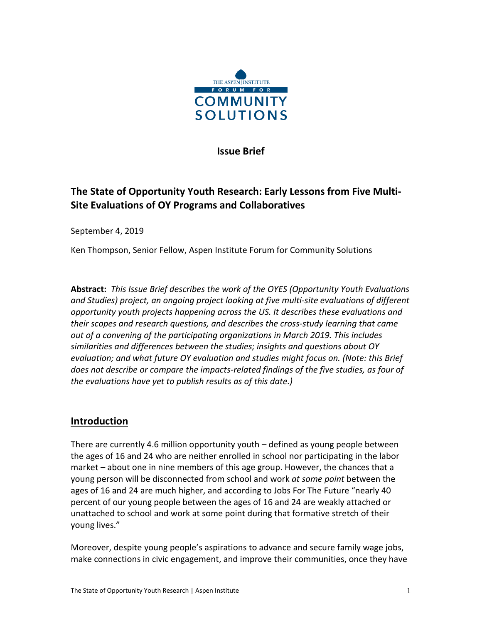

**Issue Brief**

# **The State of Opportunity Youth Research: Early Lessons from Five Multi-Site Evaluations of OY Programs and Collaboratives**

September 4, 2019

Ken Thompson, Senior Fellow, Aspen Institute Forum for Community Solutions

**Abstract:** *This Issue Brief describes the work of the OYES (Opportunity Youth Evaluations and Studies) project, an ongoing project looking at five multi-site evaluations of different opportunity youth projects happening across the US. It describes these evaluations and their scopes and research questions, and describes the cross-study learning that came out of a convening of the participating organizations in March 2019. This includes similarities and differences between the studies; insights and questions about OY evaluation; and what future OY evaluation and studies might focus on. (Note: this Brief does not describe or compare the impacts-related findings of the five studies, as four of the evaluations have yet to publish results as of this date.)*

### **Introduction**

There are currently 4.6 million opportunity youth – defined as young people between the ages of 16 and 24 who are neither enrolled in school nor participating in the labor market – about one in nine members of this age group. However, the chances that a young person will be disconnected from school and work *at some point* between the ages of 16 and 24 are much higher, and according to Jobs For The Future "nearly 40 percent of our young people between the ages of 16 and 24 are weakly attached or unattached to school and work at some point during that formative stretch of their young lives."

Moreover, despite young people's aspirations to advance and secure family wage jobs, make connections in civic engagement, and improve their communities, once they have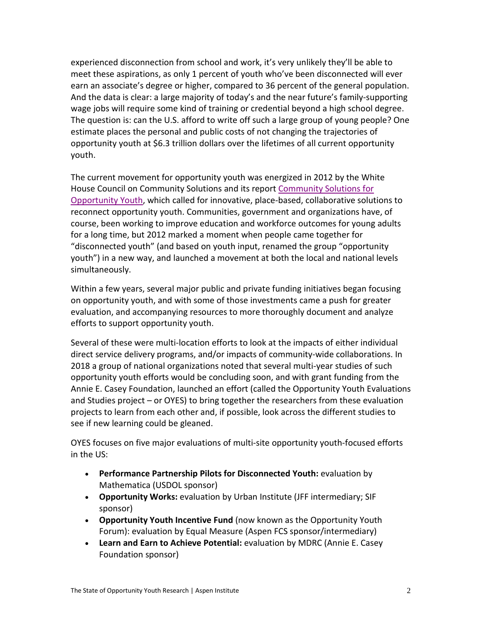experienced disconnection from school and work, it's very unlikely they'll be able to meet these aspirations, as only 1 percent of youth who've been disconnected will ever earn an associate's degree or higher, compared to 36 percent of the general population. And the data is clear: a large majority of today's and the near future's family-supporting wage jobs will require some kind of training or credential beyond a high school degree. The question is: can the U.S. afford to write off such a large group of young people? One estimate places the personal and public costs of not changing the trajectories of opportunity youth at \$6.3 trillion dollars over the lifetimes of all current opportunity youth.

The current movement for opportunity youth was energized in 2012 by the White House Council on Community Solutions and its report [Community Solutions for](https://assets.aspeninstitute.org/content/uploads/files/content/docs/resources/White_House_Council_For_Community_Solutions_Final_Report.pdf)  [Opportunity Youth,](https://assets.aspeninstitute.org/content/uploads/files/content/docs/resources/White_House_Council_For_Community_Solutions_Final_Report.pdf) which called for innovative, place-based, collaborative solutions to reconnect opportunity youth. Communities, government and organizations have, of course, been working to improve education and workforce outcomes for young adults for a long time, but 2012 marked a moment when people came together for "disconnected youth" (and based on youth input, renamed the group "opportunity youth") in a new way, and launched a movement at both the local and national levels simultaneously.

Within a few years, several major public and private funding initiatives began focusing on opportunity youth, and with some of those investments came a push for greater evaluation, and accompanying resources to more thoroughly document and analyze efforts to support opportunity youth.

Several of these were multi-location efforts to look at the impacts of either individual direct service delivery programs, and/or impacts of community-wide collaborations. In 2018 a group of national organizations noted that several multi-year studies of such opportunity youth efforts would be concluding soon, and with grant funding from the Annie E. Casey Foundation, launched an effort (called the Opportunity Youth Evaluations and Studies project – or OYES) to bring together the researchers from these evaluation projects to learn from each other and, if possible, look across the different studies to see if new learning could be gleaned.

OYES focuses on five major evaluations of multi-site opportunity youth-focused efforts in the US:

- **Performance Partnership Pilots for Disconnected Youth:** evaluation by Mathematica (USDOL sponsor)
- **Opportunity Works:** evaluation by Urban Institute (JFF intermediary; SIF sponsor)
- **Opportunity Youth Incentive Fund** (now known as the Opportunity Youth Forum): evaluation by Equal Measure (Aspen FCS sponsor/intermediary)
- **Learn and Earn to Achieve Potential:** evaluation by MDRC (Annie E. Casey Foundation sponsor)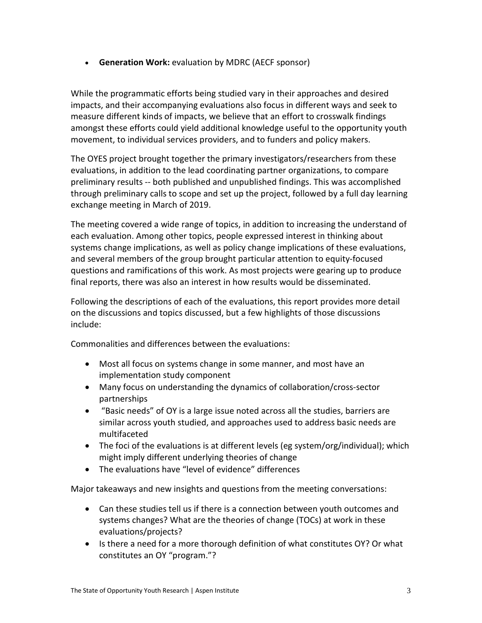• **Generation Work:** evaluation by MDRC (AECF sponsor)

While the programmatic efforts being studied vary in their approaches and desired impacts, and their accompanying evaluations also focus in different ways and seek to measure different kinds of impacts, we believe that an effort to crosswalk findings amongst these efforts could yield additional knowledge useful to the opportunity youth movement, to individual services providers, and to funders and policy makers.

The OYES project brought together the primary investigators/researchers from these evaluations, in addition to the lead coordinating partner organizations, to compare preliminary results -- both published and unpublished findings. This was accomplished through preliminary calls to scope and set up the project, followed by a full day learning exchange meeting in March of 2019.

The meeting covered a wide range of topics, in addition to increasing the understand of each evaluation. Among other topics, people expressed interest in thinking about systems change implications, as well as policy change implications of these evaluations, and several members of the group brought particular attention to equity-focused questions and ramifications of this work. As most projects were gearing up to produce final reports, there was also an interest in how results would be disseminated.

Following the descriptions of each of the evaluations, this report provides more detail on the discussions and topics discussed, but a few highlights of those discussions include:

Commonalities and differences between the evaluations:

- Most all focus on systems change in some manner, and most have an implementation study component
- Many focus on understanding the dynamics of collaboration/cross-sector partnerships
- "Basic needs" of OY is a large issue noted across all the studies, barriers are similar across youth studied, and approaches used to address basic needs are multifaceted
- The foci of the evaluations is at different levels (eg system/org/individual); which might imply different underlying theories of change
- The evaluations have "level of evidence" differences

Major takeaways and new insights and questions from the meeting conversations:

- Can these studies tell us if there is a connection between youth outcomes and systems changes? What are the theories of change (TOCs) at work in these evaluations/projects?
- Is there a need for a more thorough definition of what constitutes OY? Or what constitutes an OY "program."?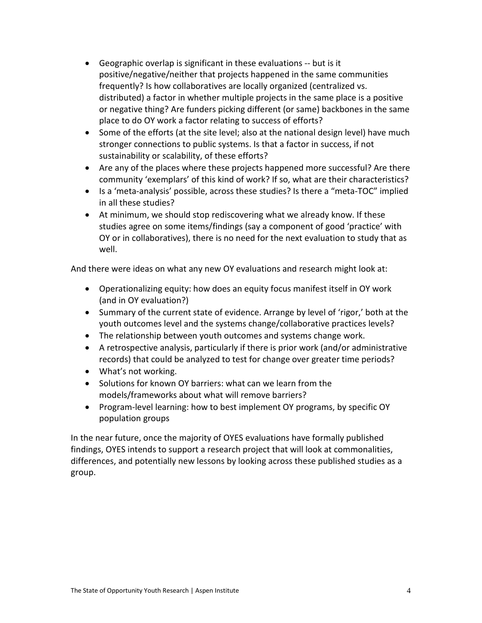- Geographic overlap is significant in these evaluations -- but is it positive/negative/neither that projects happened in the same communities frequently? Is how collaboratives are locally organized (centralized vs. distributed) a factor in whether multiple projects in the same place is a positive or negative thing? Are funders picking different (or same) backbones in the same place to do OY work a factor relating to success of efforts?
- Some of the efforts (at the site level; also at the national design level) have much stronger connections to public systems. Is that a factor in success, if not sustainability or scalability, of these efforts?
- Are any of the places where these projects happened more successful? Are there community 'exemplars' of this kind of work? If so, what are their characteristics?
- Is a 'meta-analysis' possible, across these studies? Is there a "meta-TOC" implied in all these studies?
- At minimum, we should stop rediscovering what we already know. If these studies agree on some items/findings (say a component of good 'practice' with OY or in collaboratives), there is no need for the next evaluation to study that as well.

And there were ideas on what any new OY evaluations and research might look at:

- Operationalizing equity: how does an equity focus manifest itself in OY work (and in OY evaluation?)
- Summary of the current state of evidence. Arrange by level of 'rigor,' both at the youth outcomes level and the systems change/collaborative practices levels?
- The relationship between youth outcomes and systems change work.
- A retrospective analysis, particularly if there is prior work (and/or administrative records) that could be analyzed to test for change over greater time periods?
- What's not working.
- Solutions for known OY barriers: what can we learn from the models/frameworks about what will remove barriers?
- Program-level learning: how to best implement OY programs, by specific OY population groups

In the near future, once the majority of OYES evaluations have formally published findings, OYES intends to support a research project that will look at commonalities, differences, and potentially new lessons by looking across these published studies as a group.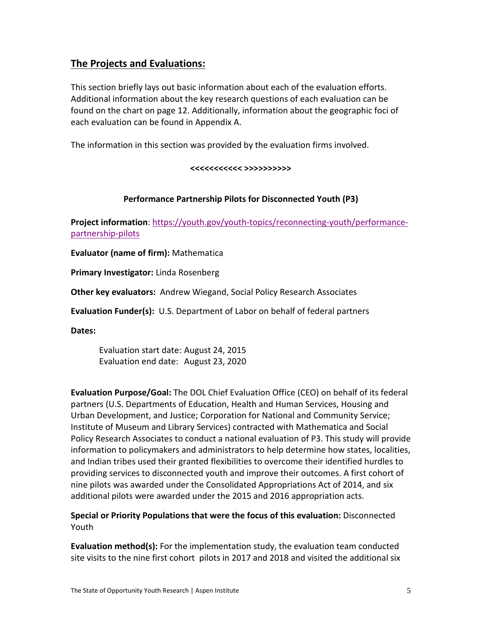## **The Projects and Evaluations:**

This section briefly lays out basic information about each of the evaluation efforts. Additional information about the key research questions of each evaluation can be found on the chart on page 12. Additionally, information about the geographic foci of each evaluation can be found in Appendix A.

The information in this section was provided by the evaluation firms involved.

### **<<<<<<<<<<< >>>>>>>>>>**

### **Performance Partnership Pilots for Disconnected Youth (P3)**

**Project information**[: https://youth.gov/youth-topics/reconnecting-youth/performance](https://youth.gov/youth-topics/reconnecting-youth/performance-partnership-pilots)[partnership-pilots](https://youth.gov/youth-topics/reconnecting-youth/performance-partnership-pilots)

**Evaluator (name of firm):** Mathematica

**Primary Investigator:** Linda Rosenberg

**Other key evaluators:** Andrew Wiegand, Social Policy Research Associates

**Evaluation Funder(s):** U.S. Department of Labor on behalf of federal partners

**Dates:**

Evaluation start date: August 24, 2015 Evaluation end date: August 23, 2020

**Evaluation Purpose/Goal:** The DOL Chief Evaluation Office (CEO) on behalf of its federal partners (U.S. Departments of Education, Health and Human Services, Housing and Urban Development, and Justice; Corporation for National and Community Service; Institute of Museum and Library Services) contracted with Mathematica and Social Policy Research Associates to conduct a national evaluation of P3. This study will provide information to policymakers and administrators to help determine how states, localities, and Indian tribes used their granted flexibilities to overcome their identified hurdles to providing services to disconnected youth and improve their outcomes. A first cohort of nine pilots was awarded under the Consolidated Appropriations Act of 2014, and six additional pilots were awarded under the 2015 and 2016 appropriation acts.

**Special or Priority Populations that were the focus of this evaluation:** Disconnected Youth

**Evaluation method(s):** For the implementation study, the evaluation team conducted site visits to the nine first cohort pilots in 2017 and 2018 and visited the additional six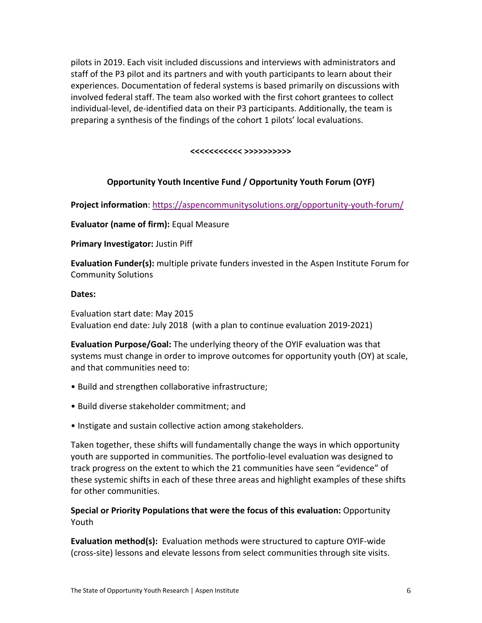pilots in 2019. Each visit included discussions and interviews with administrators and staff of the P3 pilot and its partners and with youth participants to learn about their experiences. Documentation of federal systems is based primarily on discussions with involved federal staff. The team also worked with the first cohort grantees to collect individual-level, de-identified data on their P3 participants. Additionally, the team is preparing a synthesis of the findings of the cohort 1 pilots' local evaluations.

**<<<<<<<<<<< >>>>>>>>>>**

### **Opportunity Youth Incentive Fund / Opportunity Youth Forum (OYF)**

**Project information**[: https://aspencommunitysolutions.org/opportunity-youth-forum/](https://aspencommunitysolutions.org/opportunity-youth-forum/)

**Evaluator (name of firm):** Equal Measure

**Primary Investigator:** Justin Piff

**Evaluation Funder(s):** multiple private funders invested in the Aspen Institute Forum for Community Solutions

### **Dates:**

Evaluation start date: May 2015 Evaluation end date: July 2018 (with a plan to continue evaluation 2019-2021)

**Evaluation Purpose/Goal:** The underlying theory of the OYIF evaluation was that systems must change in order to improve outcomes for opportunity youth (OY) at scale, and that communities need to:

- Build and strengthen collaborative infrastructure;
- Build diverse stakeholder commitment; and
- Instigate and sustain collective action among stakeholders.

Taken together, these shifts will fundamentally change the ways in which opportunity youth are supported in communities. The portfolio-level evaluation was designed to track progress on the extent to which the 21 communities have seen "evidence" of these systemic shifts in each of these three areas and highlight examples of these shifts for other communities.

### **Special or Priority Populations that were the focus of this evaluation:** Opportunity Youth

**Evaluation method(s):** Evaluation methods were structured to capture OYIF-wide (cross-site) lessons and elevate lessons from select communities through site visits.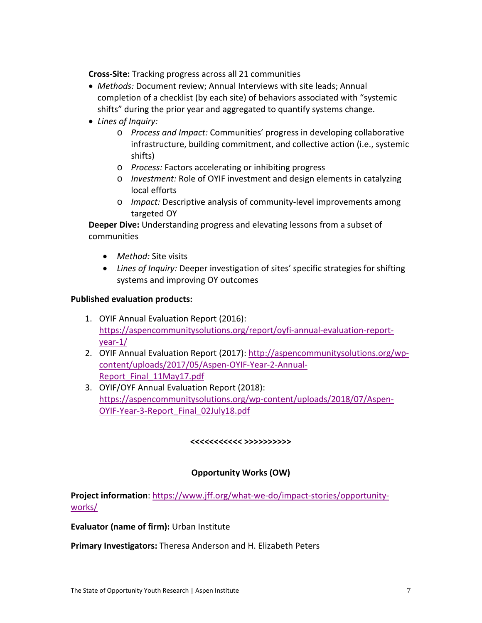**Cross-Site:** Tracking progress across all 21 communities

- *Methods:* Document review; Annual Interviews with site leads; Annual completion of a checklist (by each site) of behaviors associated with "systemic shifts" during the prior year and aggregated to quantify systems change.
- *Lines of Inquiry:* 
	- o *Process and Impact:* Communities' progress in developing collaborative infrastructure, building commitment, and collective action (i.e., systemic shifts)
	- o *Process:* Factors accelerating or inhibiting progress
	- o *Investment:* Role of OYIF investment and design elements in catalyzing local efforts
	- o *Impact:* Descriptive analysis of community-level improvements among targeted OY

**Deeper Dive:** Understanding progress and elevating lessons from a subset of communities

- *Method:* Site visits
- *Lines of Inquiry:* Deeper investigation of sites' specific strategies for shifting systems and improving OY outcomes

### **Published evaluation products:**

- 1. OYIF Annual Evaluation Report (2016): [https://aspencommunitysolutions.org/report/oyfi-annual-evaluation-report](https://aspencommunitysolutions.org/report/oyfi-annual-evaluation-report-year-1/)[year-1/](https://aspencommunitysolutions.org/report/oyfi-annual-evaluation-report-year-1/)
- 2. OYIF Annual Evaluation Report (2017)[: http://aspencommunitysolutions.org/wp](http://aspencommunitysolutions.org/wp-content/uploads/2017/05/Aspen-OYIF-Year-2-Annual-Report_Final_11May17.pdf)[content/uploads/2017/05/Aspen-OYIF-Year-2-Annual-](http://aspencommunitysolutions.org/wp-content/uploads/2017/05/Aspen-OYIF-Year-2-Annual-Report_Final_11May17.pdf)[Report\\_Final\\_11May17.pdf](http://aspencommunitysolutions.org/wp-content/uploads/2017/05/Aspen-OYIF-Year-2-Annual-Report_Final_11May17.pdf)
- 3. OYIF/OYF Annual Evaluation Report (2018): [https://aspencommunitysolutions.org/wp-content/uploads/2018/07/Aspen-](https://aspencommunitysolutions.org/wp-content/uploads/2018/07/Aspen-OYIF-Year-3-Report_Final_02July18.pdf)[OYIF-Year-3-Report\\_Final\\_02July18.pdf](https://aspencommunitysolutions.org/wp-content/uploads/2018/07/Aspen-OYIF-Year-3-Report_Final_02July18.pdf)

#### **<<<<<<<<<<< >>>>>>>>>>**

### **Opportunity Works (OW)**

**Project information**[: https://www.jff.org/what-we-do/impact-stories/opportunity](https://www.jff.org/what-we-do/impact-stories/opportunity-works/)[works/](https://www.jff.org/what-we-do/impact-stories/opportunity-works/)

#### **Evaluator (name of firm):** Urban Institute

**Primary Investigators:** Theresa Anderson and H. Elizabeth Peters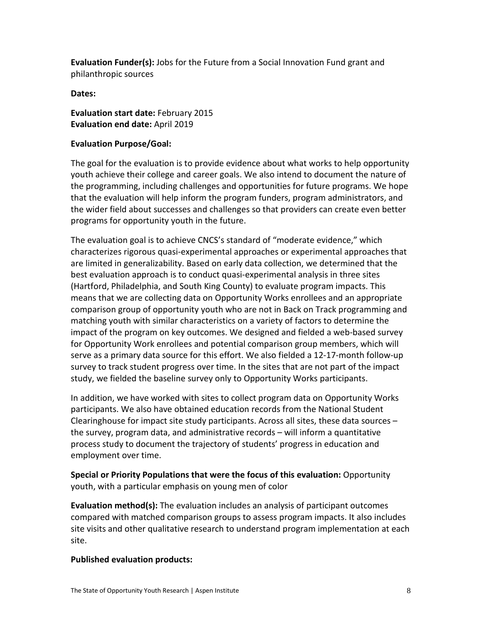**Evaluation Funder(s):** Jobs for the Future from a Social Innovation Fund grant and philanthropic sources

**Dates:**

**Evaluation start date:** February 2015 **Evaluation end date:** April 2019

### **Evaluation Purpose/Goal:**

The goal for the evaluation is to provide evidence about what works to help opportunity youth achieve their college and career goals. We also intend to document the nature of the programming, including challenges and opportunities for future programs. We hope that the evaluation will help inform the program funders, program administrators, and the wider field about successes and challenges so that providers can create even better programs for opportunity youth in the future.

The evaluation goal is to achieve CNCS's standard of "moderate evidence," which characterizes rigorous quasi-experimental approaches or experimental approaches that are limited in generalizability. Based on early data collection, we determined that the best evaluation approach is to conduct quasi-experimental analysis in three sites (Hartford, Philadelphia, and South King County) to evaluate program impacts. This means that we are collecting data on Opportunity Works enrollees and an appropriate comparison group of opportunity youth who are not in Back on Track programming and matching youth with similar characteristics on a variety of factors to determine the impact of the program on key outcomes. We designed and fielded a web-based survey for Opportunity Work enrollees and potential comparison group members, which will serve as a primary data source for this effort. We also fielded a 12-17-month follow-up survey to track student progress over time. In the sites that are not part of the impact study, we fielded the baseline survey only to Opportunity Works participants.

In addition, we have worked with sites to collect program data on Opportunity Works participants. We also have obtained education records from the National Student Clearinghouse for impact site study participants. Across all sites, these data sources – the survey, program data, and administrative records – will inform a quantitative process study to document the trajectory of students' progress in education and employment over time.

**Special or Priority Populations that were the focus of this evaluation:** Opportunity youth, with a particular emphasis on young men of color

**Evaluation method(s):** The evaluation includes an analysis of participant outcomes compared with matched comparison groups to assess program impacts. It also includes site visits and other qualitative research to understand program implementation at each site.

### **Published evaluation products:**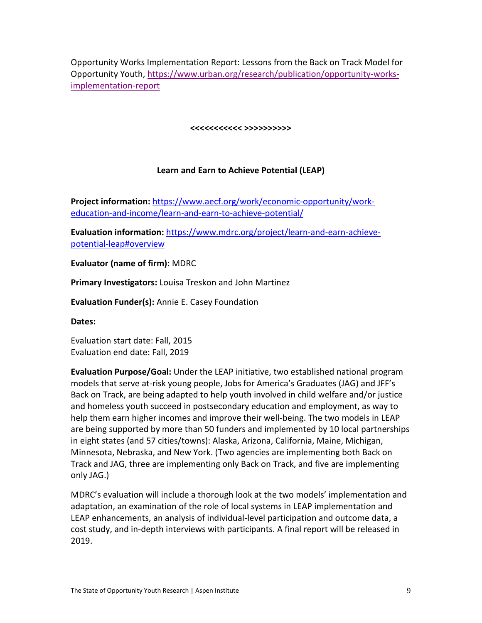Opportunity Works Implementation Report: Lessons from the Back on Track Model for Opportunity Youth, [https://www.urban.org/research/publication/opportunity-works](https://www.urban.org/research/publication/opportunity-works-implementation-report)[implementation-report](https://www.urban.org/research/publication/opportunity-works-implementation-report)

**<<<<<<<<<<< >>>>>>>>>>**

### **Learn and Earn to Achieve Potential (LEAP)**

**Project information:** [https://www.aecf.org/work/economic-opportunity/work](https://www.aecf.org/work/economic-opportunity/work-education-and-income/learn-and-earn-to-achieve-potential/)[education-and-income/learn-and-earn-to-achieve-potential/](https://www.aecf.org/work/economic-opportunity/work-education-and-income/learn-and-earn-to-achieve-potential/)

**Evaluation information:** [https://www.mdrc.org/project/learn-and-earn-achieve](https://www.mdrc.org/project/learn-and-earn-achieve-potential-leap%23overview)[potential-leap#overview](https://www.mdrc.org/project/learn-and-earn-achieve-potential-leap%23overview)

**Evaluator (name of firm):** MDRC

**Primary Investigators:** Louisa Treskon and John Martinez

**Evaluation Funder(s):** Annie E. Casey Foundation

**Dates:**

Evaluation start date: Fall, 2015 Evaluation end date: Fall, 2019

**Evaluation Purpose/Goal:** Under the LEAP initiative, two established national program models that serve at-risk young people, Jobs for America's Graduates (JAG) and JFF's Back on Track, are being adapted to help youth involved in child welfare and/or justice and homeless youth succeed in postsecondary education and employment, as way to help them earn higher incomes and improve their well-being. The two models in LEAP are being supported by more than 50 funders and implemented by 10 local partnerships in eight states (and 57 cities/towns): Alaska, Arizona, California, Maine, Michigan, Minnesota, Nebraska, and New York. (Two agencies are implementing both Back on Track and JAG, three are implementing only Back on Track, and five are implementing only JAG.)

MDRC's evaluation will include a thorough look at the two models' implementation and adaptation, an examination of the role of local systems in LEAP implementation and LEAP enhancements, an analysis of individual-level participation and outcome data, a cost study, and in-depth interviews with participants. A final report will be released in 2019.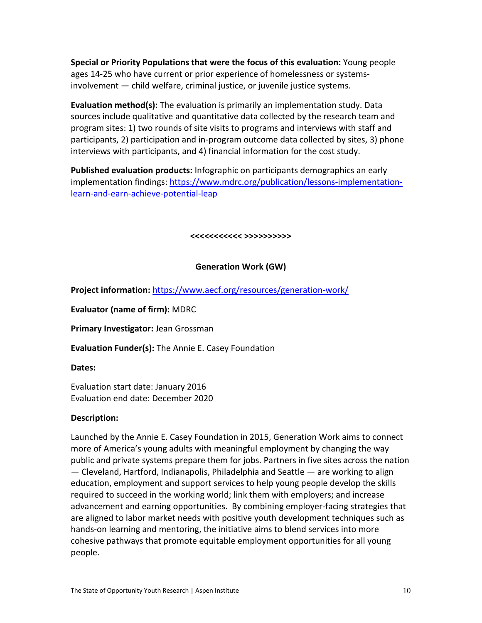**Special or Priority Populations that were the focus of this evaluation:** Young people ages 14-25 who have current or prior experience of homelessness or systemsinvolvement — child welfare, criminal justice, or juvenile justice systems.

**Evaluation method(s):** The evaluation is primarily an implementation study. Data sources include qualitative and quantitative data collected by the research team and program sites: 1) two rounds of site visits to programs and interviews with staff and participants, 2) participation and in-program outcome data collected by sites, 3) phone interviews with participants, and 4) financial information for the cost study.

**Published evaluation products:** Infographic on participants demographics an early implementation findings: [https://www.mdrc.org/publication/lessons-implementation](https://www.mdrc.org/publication/lessons-implementation-learn-and-earn-achieve-potential-leap)[learn-and-earn-achieve-potential-leap](https://www.mdrc.org/publication/lessons-implementation-learn-and-earn-achieve-potential-leap)

**<<<<<<<<<<< >>>>>>>>>>**

### **Generation Work (GW)**

**Project information:** <https://www.aecf.org/resources/generation-work/>

**Evaluator (name of firm):** MDRC

**Primary Investigator:** Jean Grossman

**Evaluation Funder(s):** The Annie E. Casey Foundation

**Dates:**

Evaluation start date: January 2016 Evaluation end date: December 2020

### **Description:**

Launched by the Annie E. Casey Foundation in 2015, Generation Work aims to connect more of America's young adults with meaningful employment by changing the way public and private systems prepare them for jobs. Partners in five sites across the nation — Cleveland, Hartford, Indianapolis, Philadelphia and Seattle — are working to align education, employment and support services to help young people develop the skills required to succeed in the working world; link them with employers; and increase advancement and earning opportunities. By combining employer-facing strategies that are aligned to labor market needs with positive youth development techniques such as hands-on learning and mentoring, the initiative aims to blend services into more cohesive pathways that promote equitable employment opportunities for all young people.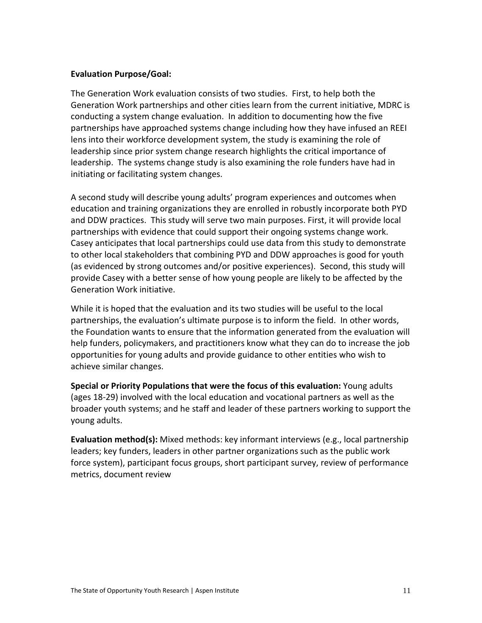### **Evaluation Purpose/Goal:**

The Generation Work evaluation consists of two studies. First, to help both the Generation Work partnerships and other cities learn from the current initiative, MDRC is conducting a system change evaluation. In addition to documenting how the five partnerships have approached systems change including how they have infused an REEI lens into their workforce development system, the study is examining the role of leadership since prior system change research highlights the critical importance of leadership. The systems change study is also examining the role funders have had in initiating or facilitating system changes.

A second study will describe young adults' program experiences and outcomes when education and training organizations they are enrolled in robustly incorporate both PYD and DDW practices. This study will serve two main purposes. First, it will provide local partnerships with evidence that could support their ongoing systems change work. Casey anticipates that local partnerships could use data from this study to demonstrate to other local stakeholders that combining PYD and DDW approaches is good for youth (as evidenced by strong outcomes and/or positive experiences). Second, this study will provide Casey with a better sense of how young people are likely to be affected by the Generation Work initiative.

While it is hoped that the evaluation and its two studies will be useful to the local partnerships, the evaluation's ultimate purpose is to inform the field. In other words, the Foundation wants to ensure that the information generated from the evaluation will help funders, policymakers, and practitioners know what they can do to increase the job opportunities for young adults and provide guidance to other entities who wish to achieve similar changes.

**Special or Priority Populations that were the focus of this evaluation:** Young adults (ages 18-29) involved with the local education and vocational partners as well as the broader youth systems; and he staff and leader of these partners working to support the young adults.

**Evaluation method(s):** Mixed methods: key informant interviews (e.g., local partnership leaders; key funders, leaders in other partner organizations such as the public work force system), participant focus groups, short participant survey, review of performance metrics, document review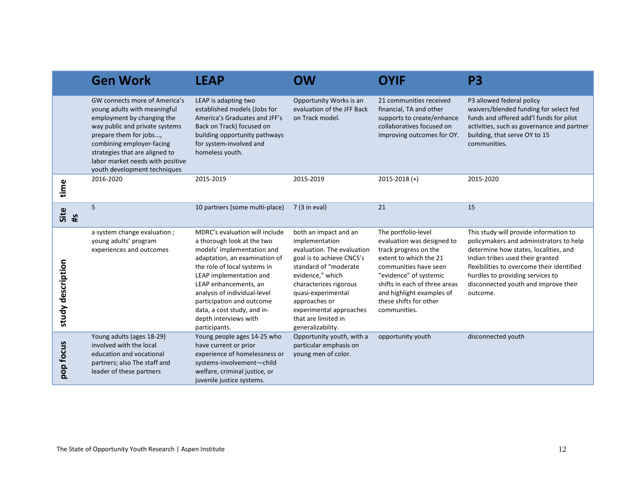|                   | <b>Gen Work</b>                                                                                                                                                                                                                                                                            | <b>LEAP</b>                                                                                                                                                                                                                                                                                                                                           | <b>OW</b>                                                                                                                                                                                                                                                                               | <b>OYIF</b>                                                                                                                                                                                                                                                     | P <sub>3</sub>                                                                                                                                                                                                                                                                                       |
|-------------------|--------------------------------------------------------------------------------------------------------------------------------------------------------------------------------------------------------------------------------------------------------------------------------------------|-------------------------------------------------------------------------------------------------------------------------------------------------------------------------------------------------------------------------------------------------------------------------------------------------------------------------------------------------------|-----------------------------------------------------------------------------------------------------------------------------------------------------------------------------------------------------------------------------------------------------------------------------------------|-----------------------------------------------------------------------------------------------------------------------------------------------------------------------------------------------------------------------------------------------------------------|------------------------------------------------------------------------------------------------------------------------------------------------------------------------------------------------------------------------------------------------------------------------------------------------------|
|                   | GW connects more of America's<br>young adults with meaningful<br>employment by changing the<br>way public and private systems<br>prepare them for jobs,<br>combining employer-facing<br>strategies that are aligned to<br>labor market needs with positive<br>youth development techniques | LEAP is adapting two<br>established models (Jobs for<br>America's Graduates and JFF's<br>Back on Track) focused on<br>building opportunity pathways<br>for system-involved and<br>homeless youth.                                                                                                                                                     | Opportunity Works is an<br>evaluation of the JFF Back<br>on Track model.                                                                                                                                                                                                                | 21 communities received<br>financial, TA and other<br>supports to create/enhance<br>collaboratives focused on<br>improving outcomes for OY.                                                                                                                     | P3 allowed federal policy<br>waivers/blended funding for select fed<br>funds and offered add'l funds for pilot<br>activities, such as governance and partner<br>building, that serve OY to 15<br>communities.                                                                                        |
| time              | 2016-2020                                                                                                                                                                                                                                                                                  | 2015-2019                                                                                                                                                                                                                                                                                                                                             | 2015-2019                                                                                                                                                                                                                                                                               | $2015 - 2018 (+)$                                                                                                                                                                                                                                               | 2015-2020                                                                                                                                                                                                                                                                                            |
| Site<br>#s        | 5                                                                                                                                                                                                                                                                                          | 10 partners (some multi-place)                                                                                                                                                                                                                                                                                                                        | 7 (3 in eval)                                                                                                                                                                                                                                                                           | 21                                                                                                                                                                                                                                                              | 15                                                                                                                                                                                                                                                                                                   |
| study description | a system change evaluation;<br>young adults' program<br>experiences and outcomes                                                                                                                                                                                                           | MDRC's evaluation will include<br>a thorough look at the two<br>models' implementation and<br>adaptation, an examination of<br>the role of local systems in<br>LEAP implementation and<br>LEAP enhancements, an<br>analysis of individual-level<br>participation and outcome<br>data, a cost study, and in-<br>depth interviews with<br>participants. | both an impact and an<br>implementation<br>evaluation. The evaluation<br>goal is to achieve CNCS's<br>standard of "moderate<br>evidence," which<br>characterizes rigorous<br>quasi-experimental<br>approaches or<br>experimental approaches<br>that are limited in<br>generalizability. | The portfolio-level<br>evaluation was designed to<br>track progress on the<br>extent to which the 21<br>communities have seen<br>"evidence" of systemic<br>shifts in each of three areas<br>and highlight examples of<br>these shifts for other<br>communities. | This study will provide information to<br>policymakers and administrators to help<br>determine how states, localities, and<br>Indian tribes used their granted<br>flexibilities to overcome their identified<br>hurdles to providing services to<br>disconnected youth and improve their<br>outcome. |
| pop focus         | Young adults (ages 18-29)<br>involved with the local<br>education and vocational<br>partners; also The staff and<br>leader of these partners                                                                                                                                               | Young people ages 14-25 who<br>have current or prior<br>experience of homelessness or<br>systems-involvement-child<br>welfare, criminal justice, or<br>juvenile justice systems.                                                                                                                                                                      | Opportunity youth, with a<br>particular emphasis on<br>young men of color.                                                                                                                                                                                                              | opportunity youth                                                                                                                                                                                                                                               | disconnected youth                                                                                                                                                                                                                                                                                   |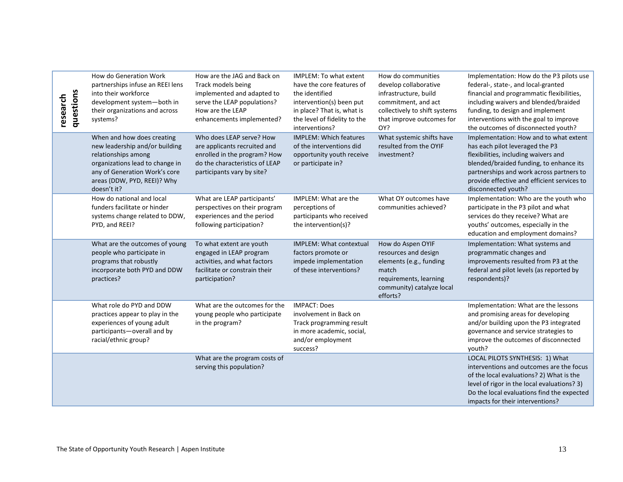| questions<br>research                                           | How do Generation Work<br>partnerships infuse an REEI lens<br>into their workforce<br>development system-both in<br>their organizations and across<br>systems?<br>When and how does creating<br>new leadership and/or building<br>relationships among<br>organizations lead to change in<br>any of Generation Work's core<br>areas (DDW, PYD, REEI)? Why<br>doesn't it? | How are the JAG and Back on<br>Track models being<br>implemented and adapted to<br>serve the LEAP populations?<br>How are the LEAP<br>enhancements implemented?<br>Who does LEAP serve? How<br>are applicants recruited and<br>enrolled in the program? How<br>do the characteristics of LEAP<br>participants vary by site? | IMPLEM: To what extent<br>have the core features of<br>the identified<br>intervention(s) been put<br>in place? That is, what is<br>the level of fidelity to the<br>interventions?<br><b>IMPLEM: Which features</b><br>of the interventions did<br>opportunity youth receive<br>or participate in? | How do communities<br>develop collaborative<br>infrastructure, build<br>commitment, and act<br>collectively to shift systems<br>that improve outcomes for<br>OY?<br>What systemic shifts have<br>resulted from the OYIF<br>investment? | Implementation: How do the P3 pilots use<br>federal-, state-, and local-granted<br>financial and programmatic flexibilities,<br>including waivers and blended/braided<br>funding, to design and implement<br>interventions with the goal to improve<br>the outcomes of disconnected youth?<br>Implementation: How and to what extent<br>has each pilot leveraged the P3<br>flexibilities, including waivers and<br>blended/braided funding, to enhance its<br>partnerships and work across partners to<br>provide effective and efficient services to<br>disconnected youth? |  |
|-----------------------------------------------------------------|-------------------------------------------------------------------------------------------------------------------------------------------------------------------------------------------------------------------------------------------------------------------------------------------------------------------------------------------------------------------------|-----------------------------------------------------------------------------------------------------------------------------------------------------------------------------------------------------------------------------------------------------------------------------------------------------------------------------|---------------------------------------------------------------------------------------------------------------------------------------------------------------------------------------------------------------------------------------------------------------------------------------------------|----------------------------------------------------------------------------------------------------------------------------------------------------------------------------------------------------------------------------------------|------------------------------------------------------------------------------------------------------------------------------------------------------------------------------------------------------------------------------------------------------------------------------------------------------------------------------------------------------------------------------------------------------------------------------------------------------------------------------------------------------------------------------------------------------------------------------|--|
|                                                                 | How do national and local<br>funders facilitate or hinder<br>systems change related to DDW,<br>PYD, and REEI?                                                                                                                                                                                                                                                           | What are LEAP participants'<br>perspectives on their program<br>experiences and the period<br>following participation?                                                                                                                                                                                                      | IMPLEM: What are the<br>perceptions of<br>participants who received<br>the intervention(s)?                                                                                                                                                                                                       | What OY outcomes have<br>communities achieved?                                                                                                                                                                                         | Implementation: Who are the youth who<br>participate in the P3 pilot and what<br>services do they receive? What are<br>youths' outcomes, especially in the<br>education and employment domains?                                                                                                                                                                                                                                                                                                                                                                              |  |
|                                                                 | What are the outcomes of young<br>people who participate in<br>programs that robustly<br>incorporate both PYD and DDW<br>practices?                                                                                                                                                                                                                                     | To what extent are youth<br>engaged in LEAP program<br>activities, and what factors<br>facilitate or constrain their<br>participation?                                                                                                                                                                                      | <b>IMPLEM: What contextual</b><br>factors promote or<br>impede implementation<br>of these interventions?                                                                                                                                                                                          | How do Aspen OYIF<br>resources and design<br>elements (e.g., funding<br>match<br>requirements, learning<br>community) catalyze local<br>efforts?                                                                                       | Implementation: What systems and<br>programmatic changes and<br>improvements resulted from P3 at the<br>federal and pilot levels (as reported by<br>respondents)?                                                                                                                                                                                                                                                                                                                                                                                                            |  |
|                                                                 | What role do PYD and DDW<br>practices appear to play in the<br>experiences of young adult<br>participants-overall and by<br>racial/ethnic group?                                                                                                                                                                                                                        | What are the outcomes for the<br>young people who participate<br>in the program?                                                                                                                                                                                                                                            | <b>IMPACT: Does</b><br>involvement in Back on<br>Track programming result<br>in more academic, social,<br>and/or employment<br>success?                                                                                                                                                           |                                                                                                                                                                                                                                        | Implementation: What are the lessons<br>and promising areas for developing<br>and/or building upon the P3 integrated<br>governance and service strategies to<br>improve the outcomes of disconnected<br>youth?                                                                                                                                                                                                                                                                                                                                                               |  |
|                                                                 |                                                                                                                                                                                                                                                                                                                                                                         | What are the program costs of<br>serving this population?                                                                                                                                                                                                                                                                   |                                                                                                                                                                                                                                                                                                   |                                                                                                                                                                                                                                        | LOCAL PILOTS SYNTHESIS: 1) What<br>interventions and outcomes are the focus<br>of the local evaluations? 2) What is the<br>level of rigor in the local evaluations? 3)<br>Do the local evaluations find the expected<br>impacts for their interventions?                                                                                                                                                                                                                                                                                                                     |  |
| 13<br>The State of Opportunity Youth Research   Aspen Institute |                                                                                                                                                                                                                                                                                                                                                                         |                                                                                                                                                                                                                                                                                                                             |                                                                                                                                                                                                                                                                                                   |                                                                                                                                                                                                                                        |                                                                                                                                                                                                                                                                                                                                                                                                                                                                                                                                                                              |  |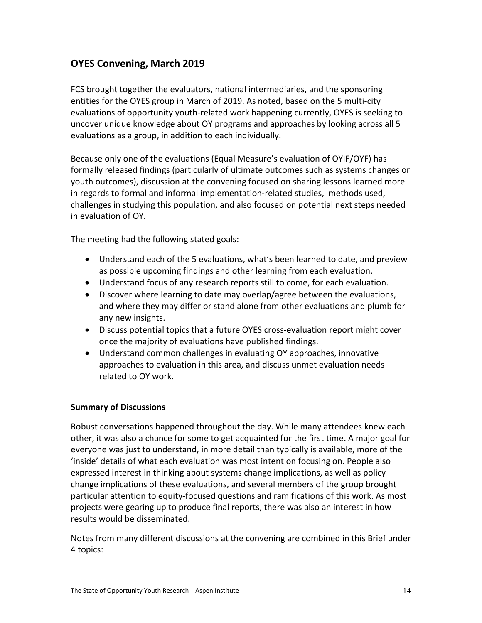## **OYES Convening, March 2019**

FCS brought together the evaluators, national intermediaries, and the sponsoring entities for the OYES group in March of 2019. As noted, based on the 5 multi-city evaluations of opportunity youth-related work happening currently, OYES is seeking to uncover unique knowledge about OY programs and approaches by looking across all 5 evaluations as a group, in addition to each individually.

Because only one of the evaluations (Equal Measure's evaluation of OYIF/OYF) has formally released findings (particularly of ultimate outcomes such as systems changes or youth outcomes), discussion at the convening focused on sharing lessons learned more in regards to formal and informal implementation-related studies, methods used, challenges in studying this population, and also focused on potential next steps needed in evaluation of OY.

The meeting had the following stated goals:

- Understand each of the 5 evaluations, what's been learned to date, and preview as possible upcoming findings and other learning from each evaluation.
- Understand focus of any research reports still to come, for each evaluation.
- Discover where learning to date may overlap/agree between the evaluations, and where they may differ or stand alone from other evaluations and plumb for any new insights.
- Discuss potential topics that a future OYES cross-evaluation report might cover once the majority of evaluations have published findings.
- Understand common challenges in evaluating OY approaches, innovative approaches to evaluation in this area, and discuss unmet evaluation needs related to OY work.

### **Summary of Discussions**

Robust conversations happened throughout the day. While many attendees knew each other, it was also a chance for some to get acquainted for the first time. A major goal for everyone was just to understand, in more detail than typically is available, more of the 'inside' details of what each evaluation was most intent on focusing on. People also expressed interest in thinking about systems change implications, as well as policy change implications of these evaluations, and several members of the group brought particular attention to equity-focused questions and ramifications of this work. As most projects were gearing up to produce final reports, there was also an interest in how results would be disseminated.

Notes from many different discussions at the convening are combined in this Brief under 4 topics: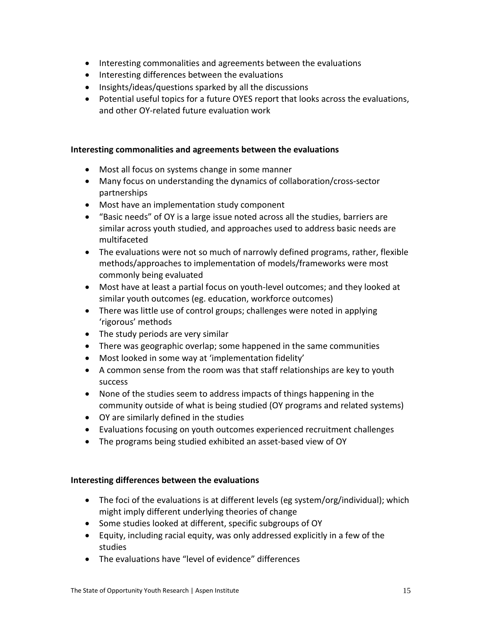- Interesting commonalities and agreements between the evaluations
- Interesting differences between the evaluations
- Insights/ideas/questions sparked by all the discussions
- Potential useful topics for a future OYES report that looks across the evaluations, and other OY-related future evaluation work

### **Interesting commonalities and agreements between the evaluations**

- Most all focus on systems change in some manner
- Many focus on understanding the dynamics of collaboration/cross-sector partnerships
- Most have an implementation study component
- "Basic needs" of OY is a large issue noted across all the studies, barriers are similar across youth studied, and approaches used to address basic needs are multifaceted
- The evaluations were not so much of narrowly defined programs, rather, flexible methods/approaches to implementation of models/frameworks were most commonly being evaluated
- Most have at least a partial focus on youth-level outcomes; and they looked at similar youth outcomes (eg. education, workforce outcomes)
- There was little use of control groups; challenges were noted in applying 'rigorous' methods
- The study periods are very similar
- There was geographic overlap; some happened in the same communities
- Most looked in some way at 'implementation fidelity'
- A common sense from the room was that staff relationships are key to youth success
- None of the studies seem to address impacts of things happening in the community outside of what is being studied (OY programs and related systems)
- OY are similarly defined in the studies
- Evaluations focusing on youth outcomes experienced recruitment challenges
- The programs being studied exhibited an asset-based view of OY

#### **Interesting differences between the evaluations**

- The foci of the evaluations is at different levels (eg system/org/individual); which might imply different underlying theories of change
- Some studies looked at different, specific subgroups of OY
- Equity, including racial equity, was only addressed explicitly in a few of the studies
- The evaluations have "level of evidence" differences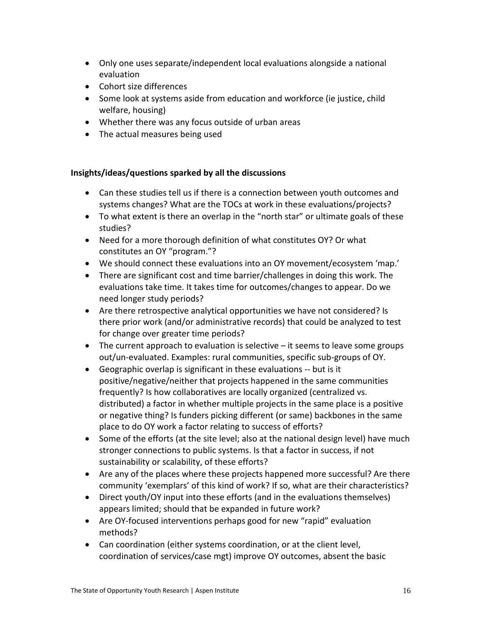- Only one uses separate/independent local evaluations alongside a national evaluation
- Cohort size differences
- Some look at systems aside from education and workforce (ie justice, child welfare, housing)
- Whether there was any focus outside of urban areas
- The actual measures being used

### **Insights/ideas/questions sparked by all the discussions**

- Can these studies tell us if there is a connection between youth outcomes and systems changes? What are the TOCs at work in these evaluations/projects?
- To what extent is there an overlap in the "north star" or ultimate goals of these studies?
- Need for a more thorough definition of what constitutes OY? Or what constitutes an OY "program."?
- We should connect these evaluations into an OY movement/ecosystem 'map.'
- There are significant cost and time barrier/challenges in doing this work. The evaluations take time. It takes time for outcomes/changes to appear. Do we need longer study periods?
- Are there retrospective analytical opportunities we have not considered? Is there prior work (and/or administrative records) that could be analyzed to test for change over greater time periods?
- The current approach to evaluation is selective it seems to leave some groups out/un-evaluated. Examples: rural communities, specific sub-groups of OY.
- Geographic overlap is significant in these evaluations -- but is it positive/negative/neither that projects happened in the same communities frequently? Is how collaboratives are locally organized (centralized vs. distributed) a factor in whether multiple projects in the same place is a positive or negative thing? Is funders picking different (or same) backbones in the same place to do OY work a factor relating to success of efforts?
- Some of the efforts (at the site level; also at the national design level) have much stronger connections to public systems. Is that a factor in success, if not sustainability or scalability, of these efforts?
- Are any of the places where these projects happened more successful? Are there community 'exemplars' of this kind of work? If so, what are their characteristics?
- Direct youth/OY input into these efforts (and in the evaluations themselves) appears limited; should that be expanded in future work?
- Are OY-focused interventions perhaps good for new "rapid" evaluation methods?
- Can coordination (either systems coordination, or at the client level, coordination of services/case mgt) improve OY outcomes, absent the basic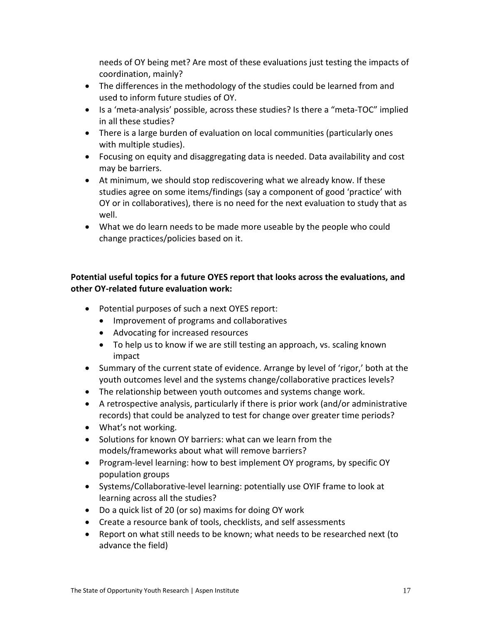needs of OY being met? Are most of these evaluations just testing the impacts of coordination, mainly?

- The differences in the methodology of the studies could be learned from and used to inform future studies of OY.
- Is a 'meta-analysis' possible, across these studies? Is there a "meta-TOC" implied in all these studies?
- There is a large burden of evaluation on local communities (particularly ones with multiple studies).
- Focusing on equity and disaggregating data is needed. Data availability and cost may be barriers.
- At minimum, we should stop rediscovering what we already know. If these studies agree on some items/findings (say a component of good 'practice' with OY or in collaboratives), there is no need for the next evaluation to study that as well.
- What we do learn needs to be made more useable by the people who could change practices/policies based on it.

### **Potential useful topics for a future OYES report that looks across the evaluations, and other OY-related future evaluation work:**

- Potential purposes of such a next OYES report:
	- Improvement of programs and collaboratives
	- Advocating for increased resources
	- To help us to know if we are still testing an approach, vs. scaling known impact
- Summary of the current state of evidence. Arrange by level of 'rigor,' both at the youth outcomes level and the systems change/collaborative practices levels?
- The relationship between youth outcomes and systems change work.
- A retrospective analysis, particularly if there is prior work (and/or administrative records) that could be analyzed to test for change over greater time periods?
- What's not working.
- Solutions for known OY barriers: what can we learn from the models/frameworks about what will remove barriers?
- Program-level learning: how to best implement OY programs, by specific OY population groups
- Systems/Collaborative-level learning: potentially use OYIF frame to look at learning across all the studies?
- Do a quick list of 20 (or so) maxims for doing OY work
- Create a resource bank of tools, checklists, and self assessments
- Report on what still needs to be known; what needs to be researched next (to advance the field)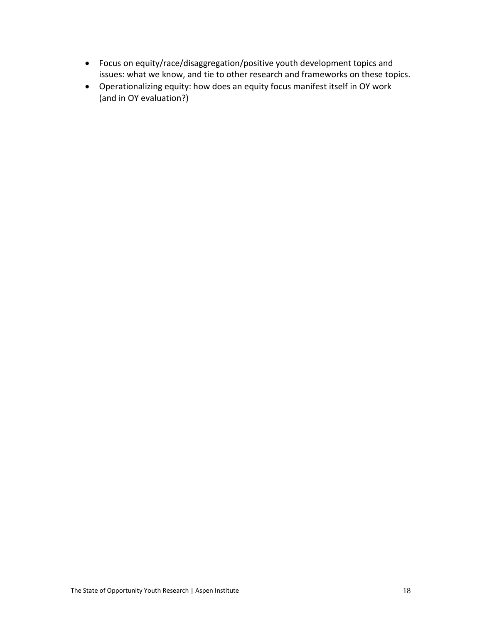- Focus on equity/race/disaggregation/positive youth development topics and issues: what we know, and tie to other research and frameworks on these topics.
- Operationalizing equity: how does an equity focus manifest itself in OY work (and in OY evaluation?)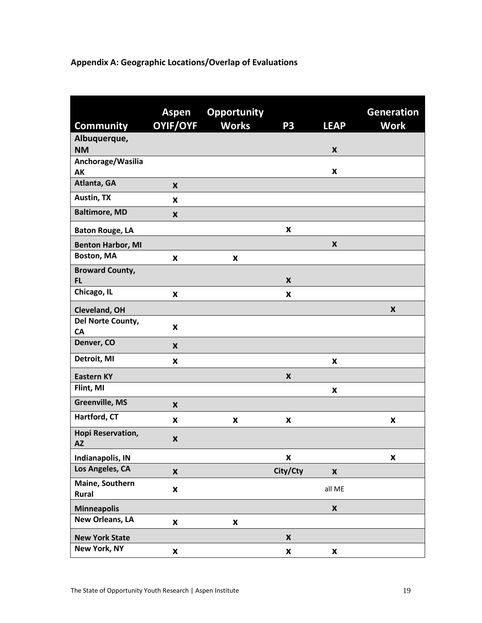# **Appendix A: Geographic Locations/Overlap of Evaluations**

| <b>Community</b>               | Aspen<br><b>OYIF/OYF</b> | <b>Opportunity</b><br><b>Works</b> | P <sub>3</sub>     | <b>LEAP</b>        | <b>Generation</b><br><b>Work</b> |
|--------------------------------|--------------------------|------------------------------------|--------------------|--------------------|----------------------------------|
| Albuquerque,                   |                          |                                    |                    |                    |                                  |
| <b>NM</b>                      |                          |                                    |                    | $\pmb{\mathsf{x}}$ |                                  |
| Anchorage/Wasilia              |                          |                                    |                    |                    |                                  |
| AK                             |                          |                                    |                    | X                  |                                  |
| Atlanta, GA                    | $\boldsymbol{x}$         |                                    |                    |                    |                                  |
| Austin, TX                     | X                        |                                    |                    |                    |                                  |
| <b>Baltimore, MD</b>           | X                        |                                    |                    |                    |                                  |
| <b>Baton Rouge, LA</b>         |                          |                                    | $\pmb{\times}$     |                    |                                  |
| <b>Benton Harbor, MI</b>       |                          |                                    |                    | $\pmb{\times}$     |                                  |
| Boston, MA                     | X                        | X                                  |                    |                    |                                  |
| <b>Broward County,</b>         |                          |                                    |                    |                    |                                  |
| <b>FL</b>                      |                          |                                    | $\pmb{\times}$     |                    |                                  |
| Chicago, IL                    | $\pmb{\mathsf{x}}$       |                                    | $\pmb{\mathsf{x}}$ |                    |                                  |
| Cleveland, OH                  |                          |                                    |                    |                    | $\pmb{\times}$                   |
| Del Norte County,<br>CA        | X                        |                                    |                    |                    |                                  |
| Denver, CO                     | X                        |                                    |                    |                    |                                  |
| Detroit, MI                    | X                        |                                    |                    | $\pmb{\mathsf{x}}$ |                                  |
| <b>Eastern KY</b>              |                          |                                    | $\pmb{\mathsf{x}}$ |                    |                                  |
| Flint, MI                      |                          |                                    |                    | $\pmb{\times}$     |                                  |
| <b>Greenville, MS</b>          | $\pmb{\mathsf{x}}$       |                                    |                    |                    |                                  |
| Hartford, CT                   | X                        | X                                  | $\pmb{\mathsf{x}}$ |                    | X                                |
| Hopi Reservation,<br><b>AZ</b> | X                        |                                    |                    |                    |                                  |
| <b>Indianapolis, IN</b>        |                          |                                    | $\pmb{\mathsf{x}}$ |                    | X                                |
| Los Angeles, CA                | $\pmb{\mathsf{X}}$       |                                    | City/Cty           | $\pmb{\mathsf{x}}$ |                                  |
| Maine, Southern<br>Rural       | X                        |                                    |                    | all ME             |                                  |
| <b>Minneapolis</b>             |                          |                                    |                    | $\pmb{\mathsf{x}}$ |                                  |
| <b>New Orleans, LA</b>         | $\pmb{\mathsf{X}}$       | $\pmb{\mathsf{x}}$                 |                    |                    |                                  |
| <b>New York State</b>          |                          |                                    | $\pmb{\mathsf{x}}$ |                    |                                  |
| New York, NY                   | X                        |                                    | X                  | X                  |                                  |